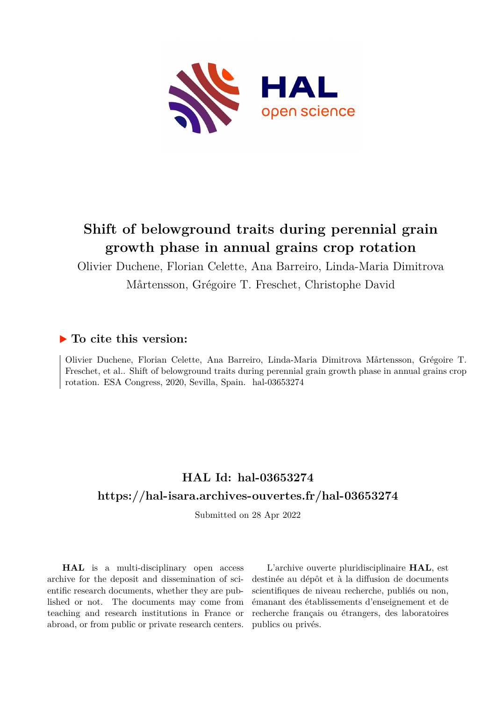

## **Shift of belowground traits during perennial grain growth phase in annual grains crop rotation**

Olivier Duchene, Florian Celette, Ana Barreiro, Linda-Maria Dimitrova

Mårtensson, Grégoire T. Freschet, Christophe David

## **To cite this version:**

Olivier Duchene, Florian Celette, Ana Barreiro, Linda-Maria Dimitrova Mårtensson, Grégoire T. Freschet, et al.. Shift of belowground traits during perennial grain growth phase in annual grains crop rotation. ESA Congress, 2020, Sevilla, Spain. hal-03653274

## **HAL Id: hal-03653274 <https://hal-isara.archives-ouvertes.fr/hal-03653274>**

Submitted on 28 Apr 2022

**HAL** is a multi-disciplinary open access archive for the deposit and dissemination of scientific research documents, whether they are published or not. The documents may come from teaching and research institutions in France or abroad, or from public or private research centers.

L'archive ouverte pluridisciplinaire **HAL**, est destinée au dépôt et à la diffusion de documents scientifiques de niveau recherche, publiés ou non, émanant des établissements d'enseignement et de recherche français ou étrangers, des laboratoires publics ou privés.